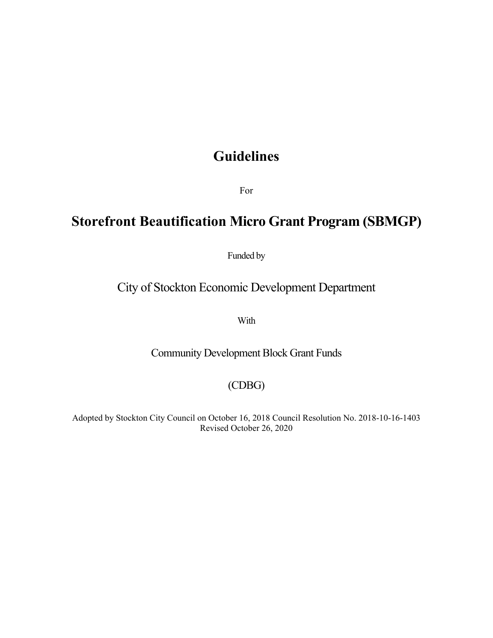# **Guidelines**

For

## **Storefront Beautification Micro Grant Program (SBMGP)**

Funded by

## City of Stockton Economic Development Department

With

Community Development Block Grant Funds

### (CDBG)

Adopted by Stockton City Council on October 16, 2018 Council Resolution No. 2018-10-16-1403 Revised October 26, 2020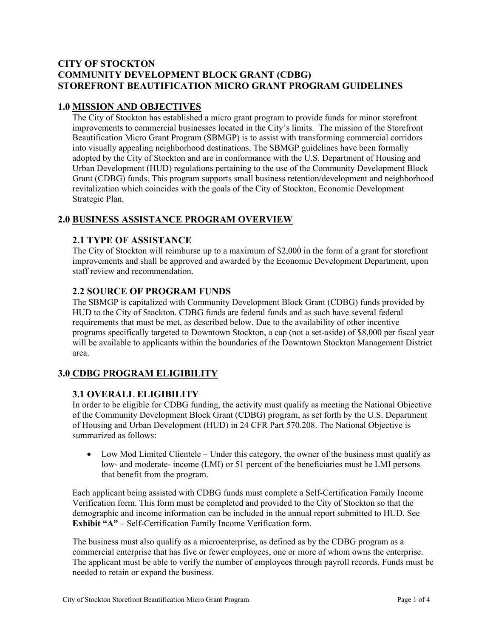#### **CITY OF STOCKTON COMMUNITY DEVELOPMENT BLOCK GRANT (CDBG) STOREFRONT BEAUTIFICATION MICRO GRANT PROGRAM GUIDELINES**

#### **1.0 MISSION AND OBJECTIVES**

The City of Stockton has established a micro grant program to provide funds for minor storefront improvements to commercial businesses located in the City's limits. The mission of the Storefront Beautification Micro Grant Program (SBMGP) is to assist with transforming commercial corridors into visually appealing neighborhood destinations. The SBMGP guidelines have been formally adopted by the City of Stockton and are in conformance with the U.S. Department of Housing and Urban Development (HUD) regulations pertaining to the use of the Community Development Block Grant (CDBG) funds. This program supports small business retention/development and neighborhood revitalization which coincides with the goals of the City of Stockton, Economic Development Strategic Plan.

#### **2.0 BUSINESS ASSISTANCE PROGRAM OVERVIEW**

#### **2.1 TYPE OF ASSISTANCE**

The City of Stockton will reimburse up to a maximum of \$2,000 in the form of a grant for storefront improvements and shall be approved and awarded by the Economic Development Department, upon staff review and recommendation.

#### **2.2 SOURCE OF PROGRAM FUNDS**

The SBMGP is capitalized with Community Development Block Grant (CDBG) funds provided by HUD to the City of Stockton. CDBG funds are federal funds and as such have several federal requirements that must be met, as described below. Due to the availability of other incentive programs specifically targeted to Downtown Stockton, a cap (not a set-aside) of \$8,000 per fiscal year will be available to applicants within the boundaries of the Downtown Stockton Management District area.

#### **3.0 CDBG PROGRAM ELIGIBILITY**

#### **3.1 OVERALL ELIGIBILITY**

In order to be eligible for CDBG funding, the activity must qualify as meeting the National Objective of the Community Development Block Grant (CDBG) program, as set forth by the U.S. Department of Housing and Urban Development (HUD) in 24 CFR Part 570.208. The National Objective is summarized as follows:

 Low Mod Limited Clientele – Under this category, the owner of the business must qualify as low- and moderate- income (LMI) or 51 percent of the beneficiaries must be LMI persons that benefit from the program.

Each applicant being assisted with CDBG funds must complete a Self-Certification Family Income Verification form. This form must be completed and provided to the City of Stockton so that the demographic and income information can be included in the annual report submitted to HUD. See **Exhibit "A"** – Self-Certification Family Income Verification form.

The business must also qualify as a microenterprise, as defined as by the CDBG program as a commercial enterprise that has five or fewer employees, one or more of whom owns the enterprise. The applicant must be able to verify the number of employees through payroll records. Funds must be needed to retain or expand the business.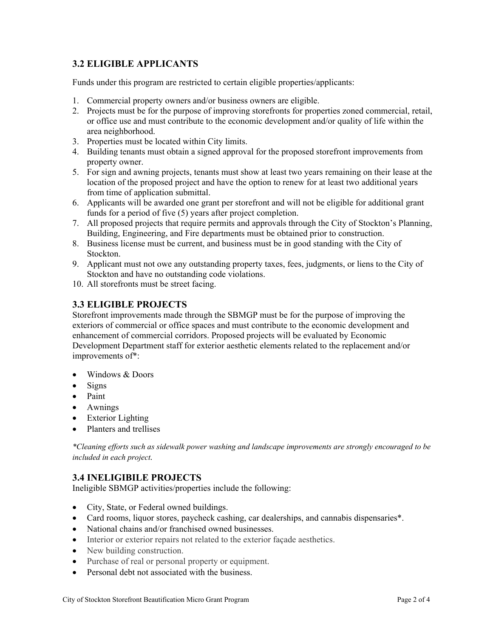### **3.2 ELIGIBLE APPLICANTS**

Funds under this program are restricted to certain eligible properties/applicants:

- 1. Commercial property owners and/or business owners are eligible.
- 2. Projects must be for the purpose of improving storefronts for properties zoned commercial, retail, or office use and must contribute to the economic development and/or quality of life within the area neighborhood.
- 3. Properties must be located within City limits.
- 4. Building tenants must obtain a signed approval for the proposed storefront improvements from property owner.
- 5. For sign and awning projects, tenants must show at least two years remaining on their lease at the location of the proposed project and have the option to renew for at least two additional years from time of application submittal.
- 6. Applicants will be awarded one grant per storefront and will not be eligible for additional grant funds for a period of five (5) years after project completion.
- 7. All proposed projects that require permits and approvals through the City of Stockton's Planning, Building, Engineering, and Fire departments must be obtained prior to construction.
- 8. Business license must be current, and business must be in good standing with the City of Stockton.
- 9. Applicant must not owe any outstanding property taxes, fees, judgments, or liens to the City of Stockton and have no outstanding code violations.
- 10. All storefronts must be street facing.

#### **3.3 ELIGIBLE PROJECTS**

Storefront improvements made through the SBMGP must be for the purpose of improving the exteriors of commercial or office spaces and must contribute to the economic development and enhancement of commercial corridors. Proposed projects will be evaluated by Economic Development Department staff for exterior aesthetic elements related to the replacement and/or improvements of\*:

- Windows & Doors
- Signs
- Paint
- Awnings
- Exterior Lighting
- Planters and trellises

*\*Cleaning efforts such as sidewalk power washing and landscape improvements are strongly encouraged to be included in each project.* 

#### **3.4 INELIGIBILE PROJECTS**

Ineligible SBMGP activities/properties include the following:

- City, State, or Federal owned buildings.
- Card rooms, liquor stores, paycheck cashing, car dealerships, and cannabis dispensaries\*.
- National chains and/or franchised owned businesses.
- Interior or exterior repairs not related to the exterior façade aesthetics.
- New building construction.
- Purchase of real or personal property or equipment.
- Personal debt not associated with the business.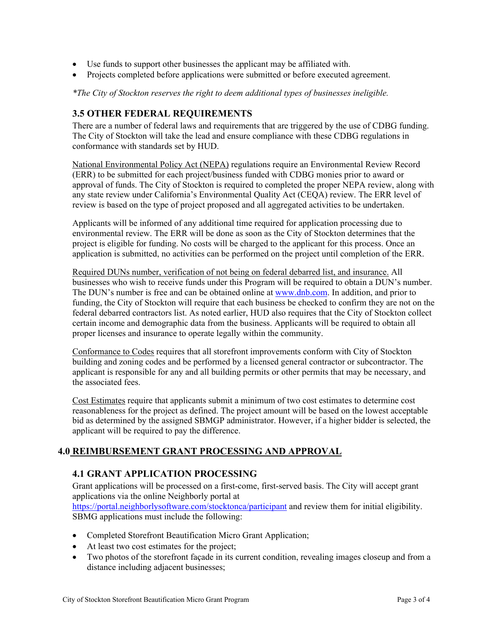- Use funds to support other businesses the applicant may be affiliated with.
- Projects completed before applications were submitted or before executed agreement.

*\*The City of Stockton reserves the right to deem additional types of businesses ineligible.* 

#### **3.5 OTHER FEDERAL REQUIREMENTS**

There are a number of federal laws and requirements that are triggered by the use of CDBG funding. The City of Stockton will take the lead and ensure compliance with these CDBG regulations in conformance with standards set by HUD.

National Environmental Policy Act (NEPA) regulations require an Environmental Review Record (ERR) to be submitted for each project/business funded with CDBG monies prior to award or approval of funds. The City of Stockton is required to completed the proper NEPA review, along with any state review under California's Environmental Quality Act (CEQA) review. The ERR level of review is based on the type of project proposed and all aggregated activities to be undertaken.

Applicants will be informed of any additional time required for application processing due to environmental review. The ERR will be done as soon as the City of Stockton determines that the project is eligible for funding. No costs will be charged to the applicant for this process. Once an application is submitted, no activities can be performed on the project until completion of the ERR.

Required DUNs number, verification of not being on federal debarred list, and insurance. All businesses who wish to receive funds under this Program will be required to obtain a DUN's number. The DUN's number is free and can be obtained online at www.dnb.com. In addition, and prior to funding, the City of Stockton will require that each business be checked to confirm they are not on the federal debarred contractors list. As noted earlier, HUD also requires that the City of Stockton collect certain income and demographic data from the business. Applicants will be required to obtain all proper licenses and insurance to operate legally within the community.

Conformance to Codes requires that all storefront improvements conform with City of Stockton building and zoning codes and be performed by a licensed general contractor or subcontractor. The applicant is responsible for any and all building permits or other permits that may be necessary, and the associated fees.

Cost Estimates require that applicants submit a minimum of two cost estimates to determine cost reasonableness for the project as defined. The project amount will be based on the lowest acceptable bid as determined by the assigned SBMGP administrator. However, if a higher bidder is selected, the applicant will be required to pay the difference.

#### **4.0 REIMBURSEMENT GRANT PROCESSING AND APPROVAL**

#### **4.1 GRANT APPLICATION PROCESSING**

Grant applications will be processed on a first-come, first-served basis. The City will accept grant applications via the online Neighborly portal at https://portal.neighborlysoftware.com/stocktonca/participant and review them for initial eligibility. SBMG applications must include the following:

- Completed Storefront Beautification Micro Grant Application;
- At least two cost estimates for the project;
- Two photos of the storefront façade in its current condition, revealing images closeup and from a distance including adjacent businesses;